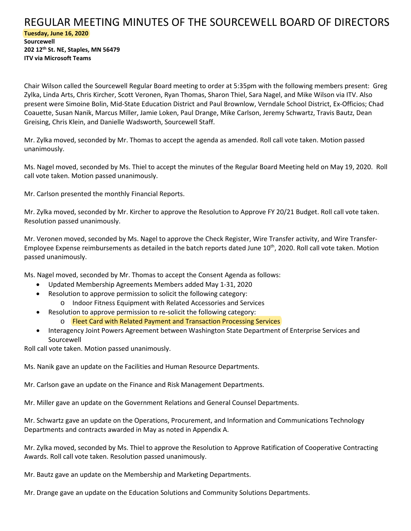## REGULAR MEETING MINUTES OF THE SOURCEWELL BOARD OF DIRECTORS **Tuesday, June 16, 2020**

**Sourcewell 202 12th St. NE, Staples, MN 56479 ITV via Microsoft Teams**

Chair Wilson called the Sourcewell Regular Board meeting to order at 5:35pm with the following members present: Greg Zylka, Linda Arts, Chris Kircher, Scott Veronen, Ryan Thomas, Sharon Thiel, Sara Nagel, and Mike Wilson via ITV. Also present were Simoine Bolin, Mid-State Education District and Paul Brownlow, Verndale School District, Ex-Officios; Chad Coauette, Susan Nanik, Marcus Miller, Jamie Loken, Paul Drange, Mike Carlson, Jeremy Schwartz, Travis Bautz, Dean Greising, Chris Klein, and Danielle Wadsworth, Sourcewell Staff.

Mr. Zylka moved, seconded by Mr. Thomas to accept the agenda as amended. Roll call vote taken. Motion passed unanimously.

Ms. Nagel moved, seconded by Ms. Thiel to accept the minutes of the Regular Board Meeting held on May 19, 2020. Roll call vote taken. Motion passed unanimously.

Mr. Carlson presented the monthly Financial Reports.

Mr. Zylka moved, seconded by Mr. Kircher to approve the Resolution to Approve FY 20/21 Budget. Roll call vote taken. Resolution passed unanimously.

Mr. Veronen moved, seconded by Ms. Nagel to approve the Check Register, Wire Transfer activity, and Wire Transfer-Employee Expense reimbursements as detailed in the batch reports dated June 10th, 2020. Roll call vote taken. Motion passed unanimously.

Ms. Nagel moved, seconded by Mr. Thomas to accept the Consent Agenda as follows:

- Updated Membership Agreements Members added May 1-31, 2020
- Resolution to approve permission to solicit the following category:
	- o Indoor Fitness Equipment with Related Accessories and Services
- Resolution to approve permission to re-solicit the following category:
	- o Fleet Card with Related Payment and Transaction Processing Services
- Interagency Joint Powers Agreement between Washington State Department of Enterprise Services and Sourcewell

Roll call vote taken. Motion passed unanimously.

Ms. Nanik gave an update on the Facilities and Human Resource Departments.

Mr. Carlson gave an update on the Finance and Risk Management Departments.

Mr. Miller gave an update on the Government Relations and General Counsel Departments.

Mr. Schwartz gave an update on the Operations, Procurement, and Information and Communications Technology Departments and contracts awarded in May as noted in Appendix A.

Mr. Zylka moved, seconded by Ms. Thiel to approve the Resolution to Approve Ratification of Cooperative Contracting Awards. Roll call vote taken. Resolution passed unanimously.

Mr. Bautz gave an update on the Membership and Marketing Departments.

Mr. Drange gave an update on the Education Solutions and Community Solutions Departments.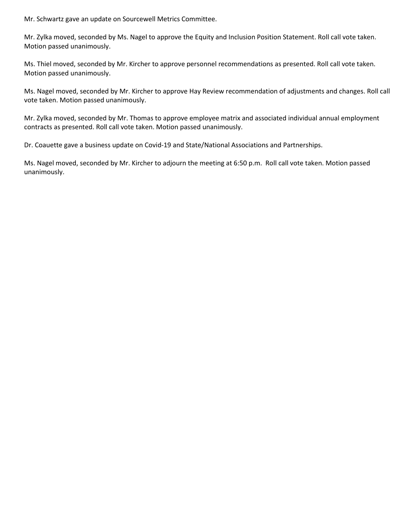Mr. Schwartz gave an update on Sourcewell Metrics Committee.

Mr. Zylka moved, seconded by Ms. Nagel to approve the Equity and Inclusion Position Statement. Roll call vote taken. Motion passed unanimously.

Ms. Thiel moved, seconded by Mr. Kircher to approve personnel recommendations as presented. Roll call vote taken. Motion passed unanimously.

Ms. Nagel moved, seconded by Mr. Kircher to approve Hay Review recommendation of adjustments and changes. Roll call vote taken. Motion passed unanimously.

Mr. Zylka moved, seconded by Mr. Thomas to approve employee matrix and associated individual annual employment contracts as presented. Roll call vote taken. Motion passed unanimously.

Dr. Coauette gave a business update on Covid-19 and State/National Associations and Partnerships.

Ms. Nagel moved, seconded by Mr. Kircher to adjourn the meeting at 6:50 p.m. Roll call vote taken. Motion passed unanimously.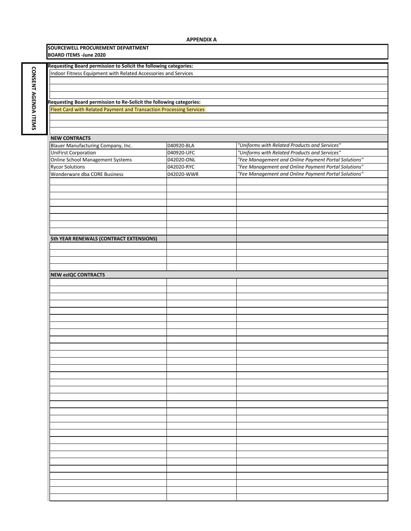**CONSENT**

**AGENDA CONSENT AGENDA ITEMS** 

| SOURCEWELL PROCUREMENT DEPARTMENT<br><b>BOARD ITEMS -June 2020</b>  |            |                                                      |  |
|---------------------------------------------------------------------|------------|------------------------------------------------------|--|
|                                                                     |            |                                                      |  |
| Requesting Board permission to Solicit the following categories:    |            |                                                      |  |
| Indoor Fitness Equipment with Related Accessories and Services      |            |                                                      |  |
|                                                                     |            |                                                      |  |
|                                                                     |            |                                                      |  |
|                                                                     |            |                                                      |  |
| Requesting Board permission to Re-Solicit the following categories: |            |                                                      |  |
| Fleet Card with Related Payment and Transaction Processing Services |            |                                                      |  |
|                                                                     |            |                                                      |  |
|                                                                     |            |                                                      |  |
|                                                                     |            |                                                      |  |
| <b>NEW CONTRACTS</b>                                                |            |                                                      |  |
| Blauer Manufacturing Company, Inc.                                  | 040920-BLA | "Uniforms with Related Products and Services"        |  |
| <b>UniFirst Corporation</b>                                         |            | "Uniforms with Related Products and Services"        |  |
|                                                                     | 040920-UFC |                                                      |  |
| <b>Online School Management Systems</b>                             | 042020-ONL | "Fee Management and Online Payment Portal Solutions" |  |
| <b>Rycor Solutions</b>                                              | 042020-RYC | "Fee Management and Online Payment Portal Solutions" |  |
| Wonderware dba CORE Business                                        | 042020-WWR | "Fee Management and Online Payment Portal Solutions" |  |
|                                                                     |            |                                                      |  |
|                                                                     |            |                                                      |  |
|                                                                     |            |                                                      |  |
|                                                                     |            |                                                      |  |
|                                                                     |            |                                                      |  |
|                                                                     |            |                                                      |  |
|                                                                     |            |                                                      |  |
|                                                                     |            |                                                      |  |
|                                                                     |            |                                                      |  |
| 5th YEAR RENEWALS (CONTRACT EXTENSIONS)                             |            |                                                      |  |
|                                                                     |            |                                                      |  |
|                                                                     |            |                                                      |  |
|                                                                     |            |                                                      |  |
|                                                                     |            |                                                      |  |
| <b>NEW ezIQC CONTRACTS</b>                                          |            |                                                      |  |
|                                                                     |            |                                                      |  |
|                                                                     |            |                                                      |  |
|                                                                     |            |                                                      |  |
|                                                                     |            |                                                      |  |
|                                                                     |            |                                                      |  |
|                                                                     |            |                                                      |  |
|                                                                     |            |                                                      |  |
|                                                                     |            |                                                      |  |
|                                                                     |            |                                                      |  |
|                                                                     |            |                                                      |  |
|                                                                     |            |                                                      |  |
|                                                                     |            |                                                      |  |
|                                                                     |            |                                                      |  |
|                                                                     |            |                                                      |  |
|                                                                     |            |                                                      |  |
|                                                                     |            |                                                      |  |
|                                                                     |            |                                                      |  |
|                                                                     |            |                                                      |  |
|                                                                     |            |                                                      |  |
|                                                                     |            |                                                      |  |
|                                                                     |            |                                                      |  |
|                                                                     |            |                                                      |  |
|                                                                     |            |                                                      |  |
|                                                                     |            |                                                      |  |
|                                                                     |            |                                                      |  |
|                                                                     |            |                                                      |  |
|                                                                     |            |                                                      |  |
|                                                                     |            |                                                      |  |
|                                                                     |            |                                                      |  |
|                                                                     |            |                                                      |  |
|                                                                     |            |                                                      |  |
|                                                                     |            |                                                      |  |
|                                                                     |            |                                                      |  |
|                                                                     |            |                                                      |  |
|                                                                     |            |                                                      |  |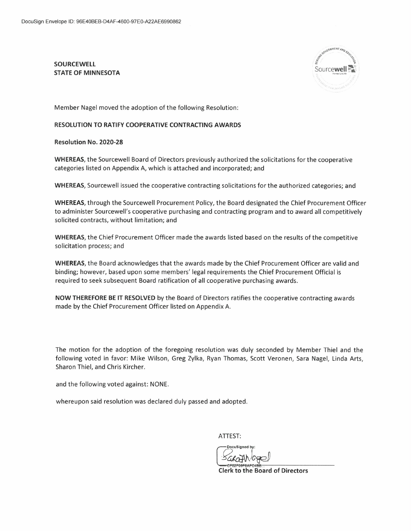**SOURCEWELL STATE OF MINNESOTA** 



Member Nagel moved the adoption of the following Resolution:

## RESOLUTION TO RATIFY COOPERATIVE CONTRACTING AWARDS

Resolution No. 2020-28

WHEREAS, the Sourcewell Board of Directors previously authorized the solicitations for the cooperative categories listed on Appendix A, which is attached and incorporated; and

WHEREAS, Sourcewell issued the cooperative contracting solicitations for the authorized categories; and

WHEREAS, through the Sourcewell Procurement Policy, the Board designated the Chief Procurement Officer to administer Sourcewell's cooperative purchasing and contracting program and to award all competitively solicited contracts, without limitation; and

WHEREAS, the Chief Procurement Officer made the awards listed based on the results of the competitive solicitation process; and

WHEREAS, the Board acknowledges that the awards made by the Chief Procurement Officer are valid and binding; however, based upon some members' legal requirements the Chief Procurement Official is required to seek subsequent Board ratification of all cooperative purchasing awards.

NOW THEREFORE BE IT RESOLVED by the Board of Directors ratifies the cooperative contracting awards made by the Chief Procurement Officer listed on Appendix A.

The motion for the adoption of the foregoing resolution was duly seconded by Member Thiel and the following voted in favor: Mike Wilson, Greg Zylka, Ryan Thomas, Scott Veronen, Sara Nagel, Linda Arts, Sharon Thiel, and Chris Kircher.

and the following voted against: NONE.

whereupon said resolution was declared duly passed and adopted.

ATTEST:

**DocuSianed** 

**Clerk to the Board of Directors**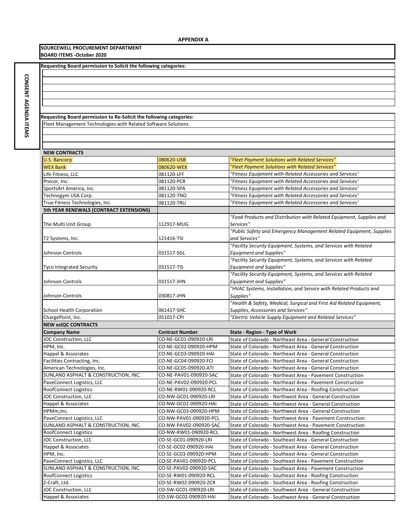**SOURCEWELL PROCUREMENT DEPARTMENT BOARD ITEMS ‐October 2020**

**Requesting Board permission to Solicit the following categories:**

**CONSENT AGENDA CONSENT AGENDA ITEMS** 

Fleet Management Technologies with Related Software Solutions **Requesting Board permission to Re‐Solicit the following categories:**

## **NEW CONTRACTS** U.S. Bancorp 080620‐USB *"Fleet Payment Solutions with Related Services"* WEX Bank 080620‐WEX *"Fleet Payment Solutions with Related Services"* Life Fitness, LLC 081120‐LFF *"Fitness Equipment with Related Accessories and Services"* Precor, Inc. 081120‐PCR *"Fitness Equipment with Related Accessories and Services"* SportsArt America, Inc. 081120‐SPA *"Fitness Equipment with Related Accessories and Services"* Technogym USA Corp. **1892 Consumers COLO 181120-TNO** <sup>"Fitness Equipment with Related Accessories and Services"</sup> True Fitness Technologies, Inc. 081120‐TRU *"Fitness Equipment with Related Accessories and Services"* **5th YEAR RENEWALS (CONTRACT EXTENSIONS)** The Multi Unit Group 112917‐MUG *"Food Products and Distribution with Related Equipment, Supplies and Services"* T2 Systems, Inc. 121416‐TSI *"Public Safety and Emergency Management Related Equipment, Supplies and Services"* Johnson Controls **031517**-SGL *"Facility Security Equipment, Systems, and Services with Related Equipment and Supplies"* Tyco Integrated Security **DESET ASSESS** 031517-TIS *"Facility Security Equipment, Systems, and Services with Related Equipment and Supplies"* Johnson Controls 031517‐JHN *"Facility Security Equipment, Systems, and Services with Related Equipment and Supplies"* Johnson Controls 030817‐JHN *"HVAC Systems, Installation, and Service with Related Products and Supplies"* School Health Corporation 061417-SHC "*Health & Safety, Medical, Surgical and First Aid Related Equipment, Supplies, Accessories and Services* " ChargePoint, Inc. 051017‐CPI *"Electric Vehicle Supply Equipment and Related Services"* **NEW ezIQC CONTRACTS Company Name Contract Number State ‐ Region ‐ Type of Work** JOC Construction, LLC CO‐NE‐GC01‐090920‐LRI State of Colorado ‐ Northeast Area ‐ General Construction HPM, Inc. CO‐NE‐GC02‐090920‐HPM State of Colorado ‐ Northeast Area ‐ General Construction Happel & Associates CO‐NE‐GC03‐090920‐HAI State of Colorado ‐ Northeast Area ‐ General Construction Facilities Contracting, Inc. CO‐NE‐GC04‐DE04‐OU4‐DE04‐OU4‐OU4 State of Colorado ‐ Northeast Area ‐ General Construction American Technologies, Inc. CO‐NE‐GC05‐090920‐ATI State of Colorado ‐ Northeast Area ‐ General Construction SUNLAND ASPHALT & CONSTRUCTION, INC. CO‐NE‐PAV01‐090920‐SAC State of Colorado ‐ Northeast Area ‐ Pavement Construction PaveConnect Logistics, LLC CO‐NE‐PAV02‐090920‐PCL State of Colorado ‐ Northeast Area ‐ Pavement Construction RoofConnect Logistics Co‐NE‐RW01‐090920‐RCL State of Colorado ‐ Northeast Area ‐ Roofing Construction JOC Construction, LLC CO‐NU‐CO‐NW‐GC01‐090920‐LRI State of Colorado ‐ Northwest Area ‐ General Construction Happel & Associates Communication CO–NW-GC02-090920-HAI State of Colorado - Northwest Area - General Construction HPMm,Inc. CO‐NW‐GC03‐090920‐HPM State of Colorado ‐ Northwest Area ‐ General Construction PaveConnect Logistics, LLC CO‐NW‐PAV01‐090920‐PCL State of Colorado ‐ Northwest Area ‐ Pavement Construction<br>SUNLAND ASPHALT & CONSTRUCTION, INC. CO‐NW‐PAV02‐090920‐SAC State of Colorado ‐ Northwest Area ‐ Pavement Constru CO-NW-PAV02-090920-SAC State of Colorado - Northwest Area - Pavement Construction RoofConnect Logistics CO‐NW‐RW01‐090920‐RCL State of Colorado ‐ Northwest Area ‐ Roofing Construction JOC Construction, LLC CO‐SE‐GC01‐090920‐LRI State of Colorado ‐ Southeast Area ‐ General Construction Happel & Associates CO‐SE‐GC02‐090920‐HAI State of Colorado ‐ Southeast Area ‐ General Construction<br>HPM, Inc. CO‐SE‐GC03‐090920‐HPM State of Colorado ‐ Southeast Area ‐ General Construction State of Colorado - Southeast Area - General Construction PaveConnect Logistics, LLC CO‐SE‐PAV01‐090920‐PCL State of Colorado ‐ Southeast Area ‐ Pavement Construction SUNLAND ASPHALT & CONSTRUCTION, INC. CO‐SE‐PAV02‐090920‐SAC State of Colorado ‐ Southeast Area ‐ Pavement Construction RoofConnect Logistics CO‐SE‐RW01‐090920‐RCL State of Colorado ‐ Southeast Area ‐ Roofing Construction Z-Craft, Ltd. CO‐SE‐RW02‐090920‐ZCR State of Colorado ‐ Southeast Area ‐ Roofing Construction JOC Construction, LLC CO‐SW‐GC01‐090920‐LRI State of Colorado ‐ Southwest Area ‐ General Construction Happel & Associates County CO‐SW‐GC02‐090920‐HAI State of Colorado ‐ Southwest Area ‐ General Construction